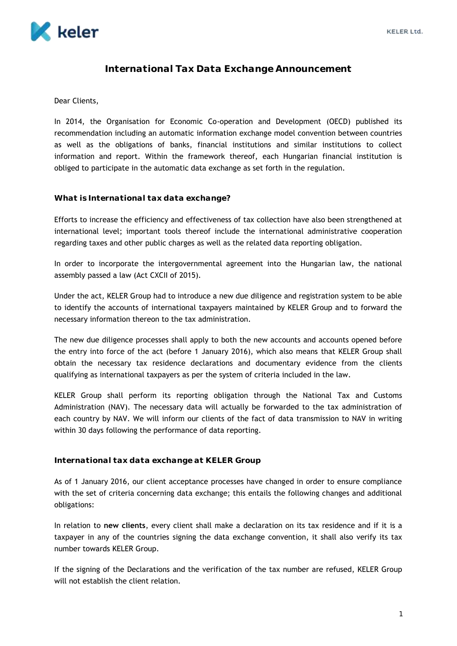

## **International Tax Data Exchange Announcement**

### Dear Clients,

In 2014, the Organisation for Economic Co-operation and Development (OECD) published its recommendation including an automatic information exchange model convention between countries as well as the obligations of banks, financial institutions and similar institutions to collect information and report. Within the framework thereof, each Hungarian financial institution is obliged to participate in the automatic data exchange as set forth in the regulation.

### **What is International tax data exchange?**

Efforts to increase the efficiency and effectiveness of tax collection have also been strengthened at international level; important tools thereof include the international administrative cooperation regarding taxes and other public charges as well as the related data reporting obligation.

In order to incorporate the intergovernmental agreement into the Hungarian law, the national assembly passed a law (Act CXCII of 2015).

Under the act, KELER Group had to introduce a new due diligence and registration system to be able to identify the accounts of international taxpayers maintained by KELER Group and to forward the necessary information thereon to the tax administration.

The new due diligence processes shall apply to both the new accounts and accounts opened before the entry into force of the act (before 1 January 2016), which also means that KELER Group shall obtain the necessary tax residence declarations and documentary evidence from the clients qualifying as international taxpayers as per the system of criteria included in the law.

KELER Group shall perform its reporting obligation through the National Tax and Customs Administration (NAV). The necessary data will actually be forwarded to the tax administration of each country by NAV. We will inform our clients of the fact of data transmission to NAV in writing within 30 days following the performance of data reporting.

### **International tax data exchange at KELER Group**

As of 1 January 2016, our client acceptance processes have changed in order to ensure compliance with the set of criteria concerning data exchange; this entails the following changes and additional obligations:

In relation to **new clients**, every client shall make a declaration on its tax residence and if it is a taxpayer in any of the countries signing the data exchange convention, it shall also verify its tax number towards KELER Group.

If the signing of the Declarations and the verification of the tax number are refused, KELER Group will not establish the client relation.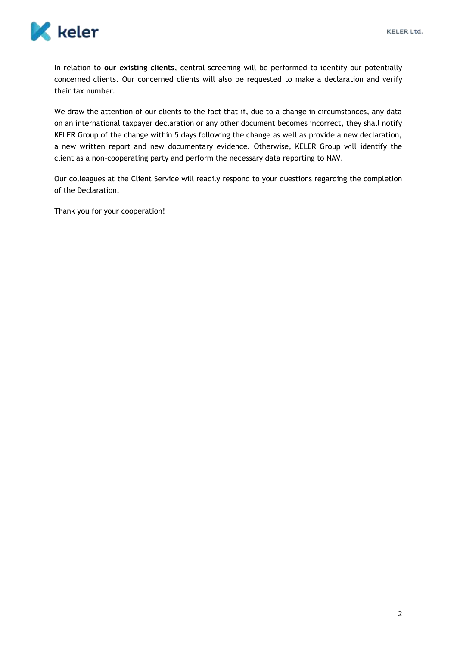

In relation to **our existing clients**, central screening will be performed to identify our potentially concerned clients. Our concerned clients will also be requested to make a declaration and verify their tax number.

We draw the attention of our clients to the fact that if, due to a change in circumstances, any data on an international taxpayer declaration or any other document becomes incorrect, they shall notify KELER Group of the change within 5 days following the change as well as provide a new declaration, a new written report and new documentary evidence. Otherwise, KELER Group will identify the client as a non-cooperating party and perform the necessary data reporting to NAV.

Our colleagues at the Client Service will readily respond to your questions regarding the completion of the Declaration.

Thank you for your cooperation!